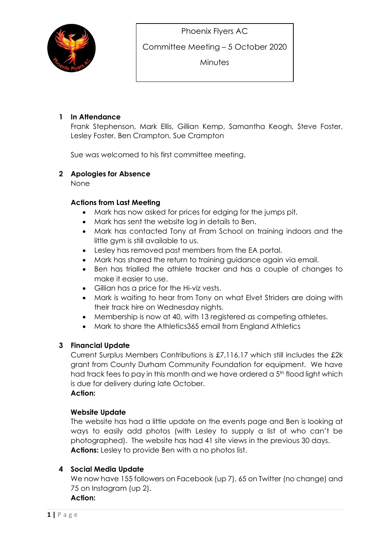

Committee Meeting – 5 October 2020

**Minutes** 

### 1 In Attendance

Frank Stephenson, Mark Ellis, Gillian Kemp, Samantha Keogh, Steve Foster, Lesley Foster, Ben Crampton, Sue Crampton

Sue was welcomed to his first committee meeting.

#### 2 Apologies for Absence

None

### Actions from Last Meeting

- Mark has now asked for prices for edging for the jumps pit.
- Mark has sent the website log in details to Ben.
- Mark has contacted Tony at Fram School on training indoors and the little gym is still available to us.
- Lesley has removed past members from the EA portal.
- Mark has shared the return to training guidance again via email.
- Ben has trialled the athlete tracker and has a couple of changes to make it easier to use.
- Gillian has a price for the Hi-viz vests.
- Mark is waiting to hear from Tony on what Elvet Striders are doing with their track hire on Wednesday nights.
- Membership is now at 40, with 13 registered as competing athletes.
- Mark to share the Athletics365 email from England Athletics

#### 3 Financial Update

Current Surplus Members Contributions is £7,116.17 which still includes the £2k grant from County Durham Community Foundation for equipment. We have had track fees to pay in this month and we have ordered a 5<sup>th</sup> flood light which is due for delivery during late October. Action:

# Website Update

The website has had a little update on the events page and Ben is looking at ways to easily add photos (with Lesley to supply a list of who can't be photographed). The website has had 41 site views in the previous 30 days. Actions: Lesley to provide Ben with a no photos list.

## 4 Social Media Update

We now have 155 followers on Facebook (up 7), 65 on Twitter (no change) and 75 on Instagram (up 2).

Action: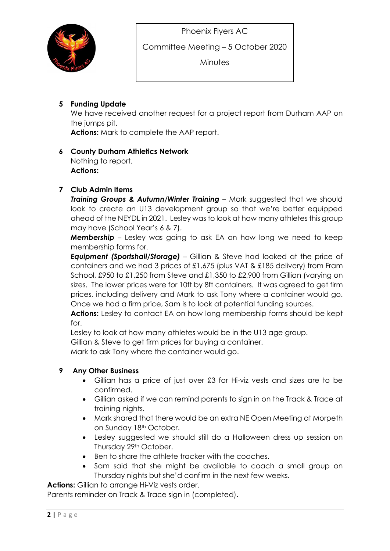

Committee Meeting – 5 October 2020

**Minutes** 

# 5 Funding Update

We have received another request for a project report from Durham AAP on the jumps pit.

Actions: Mark to complete the AAP report.

## 6 County Durham Athletics Network

Nothing to report. Actions:

## 7 Club Admin Items

Training Groups & Autumn/Winter Training - Mark suggested that we should look to create an U13 development group so that we're better equipped ahead of the NEYDL in 2021. Lesley was to look at how many athletes this group may have (School Year's 6 & 7).

**Membership** – Lesley was going to ask EA on how long we need to keep membership forms for.

**Equipment (Sportshall/Storage)** – Gillian & Steve had looked at the price of containers and we had 3 prices of £1,675 (plus VAT & £185 delivery) from Fram School, £950 to £1,250 from Steve and £1,350 to £2,900 from Gillian (varying on sizes. The lower prices were for 10ft by 8ft containers. It was agreed to get firm prices, including delivery and Mark to ask Tony where a container would go. Once we had a firm price, Sam is to look at potential funding sources.

Actions: Lesley to contact EA on how long membership forms should be kept for.

Lesley to look at how many athletes would be in the U13 age group.

Gillian & Steve to get firm prices for buying a container.

Mark to ask Tony where the container would go.

## 9 Any Other Business

- Gillian has a price of just over £3 for Hi-viz vests and sizes are to be confirmed.
- Gillian asked if we can remind parents to sign in on the Track & Trace at training nights.
- Mark shared that there would be an extra NE Open Meeting at Morpeth on Sunday 18th October.
- Lesley suggested we should still do a Halloween dress up session on Thursday 29th October.
- Ben to share the athlete tracker with the coaches.
- Sam said that she might be available to coach a small group on Thursday nights but she'd confirm in the next few weeks.

Actions: Gillian to arrange Hi-Viz vests order.

Parents reminder on Track & Trace sign in (completed).